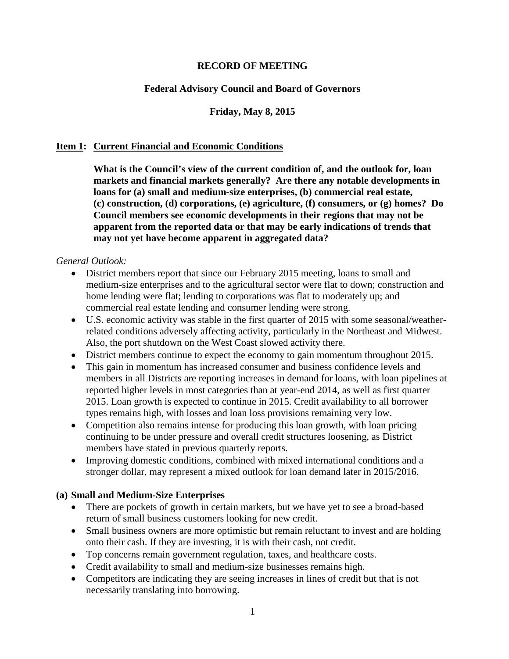### **RECORD OF MEETING**

## **Federal Advisory Council and Board of Governors**

### **Friday, May 8, 2015**

### **Item 1: Current Financial and Economic Conditions**

 **What is the Council's view of the current condition of, and the outlook for, loan markets and financial markets generally? Are there any notable developments in loans for (a) small and medium-size enterprises, (b) commercial real estate, (c) construction, (d) corporations, (e) agriculture, (f) consumers, or (g) homes? Do Council members see economic developments in their regions that may not be apparent from the reported data or that may be early indications of trends that may not yet have become apparent in aggregated data?**

### *General Outlook:*

- District members report that since our February 2015 meeting, loans to small and medium-size enterprises and to the agricultural sector were flat to down; construction and home lending were flat; lending to corporations was flat to moderately up; and commercial real estate lending and consumer lending were strong.
- U.S. economic activity was stable in the first quarter of 2015 with some seasonal/weatherrelated conditions adversely affecting activity, particularly in the Northeast and Midwest. Also, the port shutdown on the West Coast slowed activity there.
- District members continue to expect the economy to gain momentum throughout 2015.
- This gain in momentum has increased consumer and business confidence levels and members in all Districts are reporting increases in demand for loans, with loan pipelines at reported higher levels in most categories than at year-end 2014, as well as first quarter 2015. Loan growth is expected to continue in 2015. Credit availability to all borrower types remains high, with losses and loan loss provisions remaining very low.
- Competition also remains intense for producing this loan growth, with loan pricing continuing to be under pressure and overall credit structures loosening, as District members have stated in previous quarterly reports.
- Improving domestic conditions, combined with mixed international conditions and a stronger dollar, may represent a mixed outlook for loan demand later in 2015/2016.

### **(a) Small and Medium-Size Enterprises**

- There are pockets of growth in certain markets, but we have yet to see a broad-based return of small business customers looking for new credit.
- Small business owners are more optimistic but remain reluctant to invest and are holding onto their cash. If they are investing, it is with their cash, not credit.
- Top concerns remain government regulation, taxes, and healthcare costs.
- Credit availability to small and medium-size businesses remains high.
- Competitors are indicating they are seeing increases in lines of credit but that is not necessarily translating into borrowing.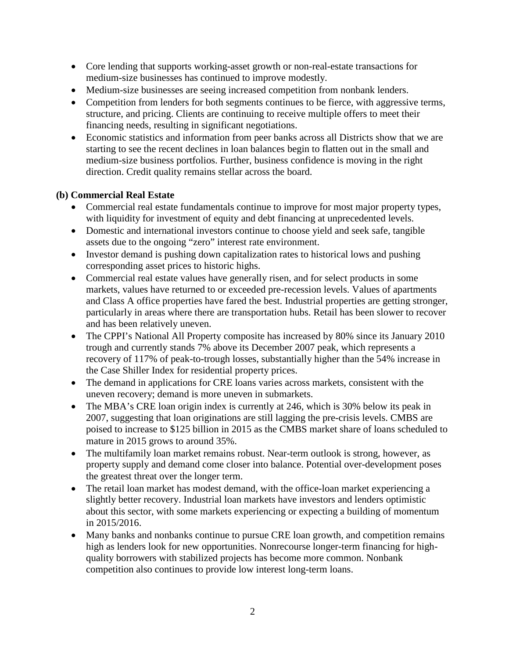- Core lending that supports working-asset growth or non-real-estate transactions for medium-size businesses has continued to improve modestly.
- Medium-size businesses are seeing increased competition from nonbank lenders.
- Competition from lenders for both segments continues to be fierce, with aggressive terms, structure, and pricing. Clients are continuing to receive multiple offers to meet their financing needs, resulting in significant negotiations.
- Economic statistics and information from peer banks across all Districts show that we are starting to see the recent declines in loan balances begin to flatten out in the small and medium-size business portfolios. Further, business confidence is moving in the right direction. Credit quality remains stellar across the board.

## **(b) Commercial Real Estate**

- Commercial real estate fundamentals continue to improve for most major property types, with liquidity for investment of equity and debt financing at unprecedented levels.
- Domestic and international investors continue to choose yield and seek safe, tangible assets due to the ongoing "zero" interest rate environment.
- Investor demand is pushing down capitalization rates to historical lows and pushing corresponding asset prices to historic highs.
- Commercial real estate values have generally risen, and for select products in some markets, values have returned to or exceeded pre-recession levels. Values of apartments and Class A office properties have fared the best. Industrial properties are getting stronger, particularly in areas where there are transportation hubs. Retail has been slower to recover and has been relatively uneven.
- The CPPI's National All Property composite has increased by 80% since its January 2010 trough and currently stands 7% above its December 2007 peak, which represents a recovery of 117% of peak-to-trough losses, substantially higher than the 54% increase in the Case Shiller Index for residential property prices.
- The demand in applications for CRE loans varies across markets, consistent with the uneven recovery; demand is more uneven in submarkets.
- The MBA's CRE loan origin index is currently at 246, which is 30% below its peak in 2007, suggesting that loan originations are still lagging the pre-crisis levels. CMBS are poised to increase to \$125 billion in 2015 as the CMBS market share of loans scheduled to mature in 2015 grows to around 35%.
- The multifamily loan market remains robust. Near-term outlook is strong, however, as property supply and demand come closer into balance. Potential over-development poses the greatest threat over the longer term.
- The retail loan market has modest demand, with the office-loan market experiencing a slightly better recovery. Industrial loan markets have investors and lenders optimistic about this sector, with some markets experiencing or expecting a building of momentum in 2015/2016.
- Many banks and nonbanks continue to pursue CRE loan growth, and competition remains high as lenders look for new opportunities. Nonrecourse longer-term financing for highquality borrowers with stabilized projects has become more common. Nonbank competition also continues to provide low interest long-term loans.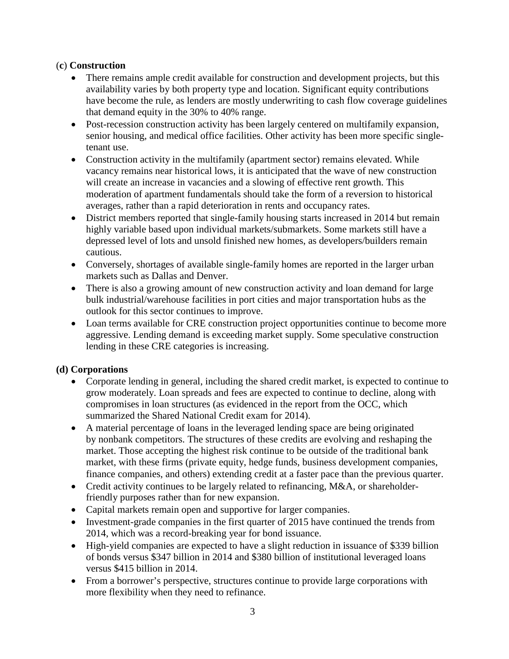## (**c**) **Construction**

- There remains ample credit available for construction and development projects, but this availability varies by both property type and location. Significant equity contributions have become the rule, as lenders are mostly underwriting to cash flow coverage guidelines that demand equity in the 30% to 40% range.
- Post-recession construction activity has been largely centered on multifamily expansion, senior housing, and medical office facilities. Other activity has been more specific singletenant use.
- Construction activity in the multifamily (apartment sector) remains elevated. While vacancy remains near historical lows, it is anticipated that the wave of new construction will create an increase in vacancies and a slowing of effective rent growth. This moderation of apartment fundamentals should take the form of a reversion to historical averages, rather than a rapid deterioration in rents and occupancy rates.
- District members reported that single-family housing starts increased in 2014 but remain highly variable based upon individual markets/submarkets. Some markets still have a depressed level of lots and unsold finished new homes, as developers/builders remain cautious.
- Conversely, shortages of available single-family homes are reported in the larger urban markets such as Dallas and Denver.
- There is also a growing amount of new construction activity and loan demand for large bulk industrial/warehouse facilities in port cities and major transportation hubs as the outlook for this sector continues to improve.
- Loan terms available for CRE construction project opportunities continue to become more aggressive. Lending demand is exceeding market supply. Some speculative construction lending in these CRE categories is increasing.

## **(d) Corporations**

- Corporate lending in general, including the shared credit market, is expected to continue to grow moderately. Loan spreads and fees are expected to continue to decline, along with compromises in loan structures (as evidenced in the report from the OCC, which summarized the Shared National Credit exam for 2014).
- A material percentage of loans in the leveraged lending space are being originated by nonbank competitors. The structures of these credits are evolving and reshaping the market. Those accepting the highest risk continue to be outside of the traditional bank market, with these firms (private equity, hedge funds, business development companies, finance companies, and others) extending credit at a faster pace than the previous quarter.
- Credit activity continues to be largely related to refinancing, M&A, or shareholderfriendly purposes rather than for new expansion.
- Capital markets remain open and supportive for larger companies.
- Investment-grade companies in the first quarter of 2015 have continued the trends from 2014, which was a record-breaking year for bond issuance.
- High-yield companies are expected to have a slight reduction in issuance of \$339 billion of bonds versus \$347 billion in 2014 and \$380 billion of institutional leveraged loans versus \$415 billion in 2014.
- From a borrower's perspective, structures continue to provide large corporations with more flexibility when they need to refinance.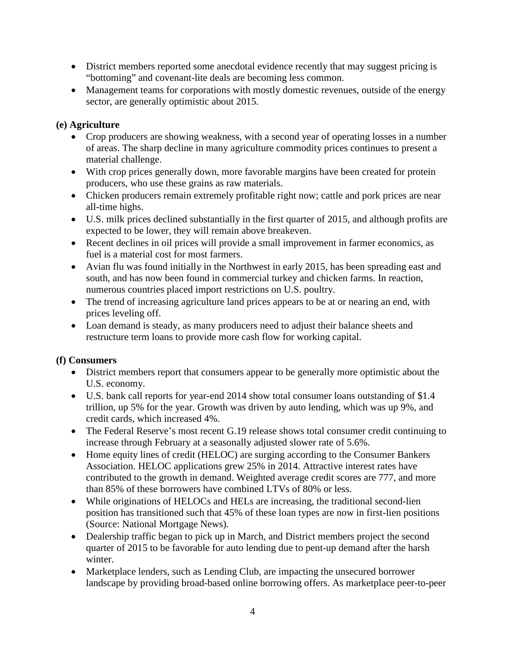- District members reported some anecdotal evidence recently that may suggest pricing is "bottoming" and covenant-lite deals are becoming less common.
- Management teams for corporations with mostly domestic revenues, outside of the energy sector, are generally optimistic about 2015.

## **(e) Agriculture**

- Crop producers are showing weakness, with a second year of operating losses in a number of areas. The sharp decline in many agriculture commodity prices continues to present a material challenge.
- With crop prices generally down, more favorable margins have been created for protein producers, who use these grains as raw materials.
- Chicken producers remain extremely profitable right now; cattle and pork prices are near all-time highs.
- U.S. milk prices declined substantially in the first quarter of 2015, and although profits are expected to be lower, they will remain above breakeven.
- Recent declines in oil prices will provide a small improvement in farmer economics, as fuel is a material cost for most farmers.
- Avian flu was found initially in the Northwest in early 2015, has been spreading east and south, and has now been found in commercial turkey and chicken farms. In reaction, numerous countries placed import restrictions on U.S. poultry.
- The trend of increasing agriculture land prices appears to be at or nearing an end, with prices leveling off.
- Loan demand is steady, as many producers need to adjust their balance sheets and restructure term loans to provide more cash flow for working capital.

# **(f) Consumers**

- District members report that consumers appear to be generally more optimistic about the U.S. economy.
- U.S. bank call reports for year-end 2014 show total consumer loans outstanding of \$1.4 trillion, up 5% for the year. Growth was driven by auto lending, which was up 9%, and credit cards, which increased 4%.
- The Federal Reserve's most recent G.19 release shows total consumer credit continuing to increase through February at a seasonally adjusted slower rate of 5.6%.
- Home equity lines of credit (HELOC) are surging according to the Consumer Bankers Association. HELOC applications grew 25% in 2014. Attractive interest rates have contributed to the growth in demand. Weighted average credit scores are 777, and more than 85% of these borrowers have combined LTVs of 80% or less.
- While originations of HELOCs and HELs are increasing, the traditional second-lien position has transitioned such that 45% of these loan types are now in first-lien positions (Source: National Mortgage News).
- Dealership traffic began to pick up in March, and District members project the second quarter of 2015 to be favorable for auto lending due to pent-up demand after the harsh winter.
- Marketplace lenders, such as Lending Club, are impacting the unsecured borrower landscape by providing broad-based online borrowing offers. As marketplace peer-to-peer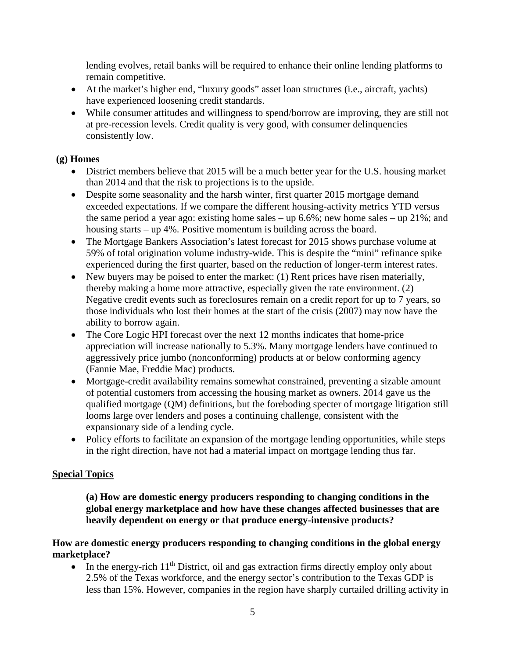lending evolves, retail banks will be required to enhance their online lending platforms to remain competitive.

- At the market's higher end, "luxury goods" asset loan structures (i.e., aircraft, yachts) have experienced loosening credit standards.
- While consumer attitudes and willingness to spend/borrow are improving, they are still not at pre-recession levels. Credit quality is very good, with consumer delinquencies consistently low.

# **(g) Homes**

- District members believe that 2015 will be a much better year for the U.S. housing market than 2014 and that the risk to projections is to the upside.
- Despite some seasonality and the harsh winter, first quarter 2015 mortgage demand exceeded expectations. If we compare the different housing-activity metrics YTD versus the same period a year ago: existing home sales – up 6.6%; new home sales – up 21%; and housing starts – up 4%. Positive momentum is building across the board.
- The Mortgage Bankers Association's latest forecast for 2015 shows purchase volume at 59% of total origination volume industry-wide. This is despite the "mini" refinance spike experienced during the first quarter, based on the reduction of longer-term interest rates.
- New buyers may be poised to enter the market: (1) Rent prices have risen materially, thereby making a home more attractive, especially given the rate environment. (2) Negative credit events such as foreclosures remain on a credit report for up to 7 years, so those individuals who lost their homes at the start of the crisis (2007) may now have the ability to borrow again.
- The Core Logic HPI forecast over the next 12 months indicates that home-price appreciation will increase nationally to 5.3%. Many mortgage lenders have continued to aggressively price jumbo (nonconforming) products at or below conforming agency (Fannie Mae, Freddie Mac) products.
- Mortgage-credit availability remains somewhat constrained, preventing a sizable amount of potential customers from accessing the housing market as owners. 2014 gave us the qualified mortgage (QM) definitions, but the foreboding specter of mortgage litigation still looms large over lenders and poses a continuing challenge, consistent with the expansionary side of a lending cycle.
- Policy efforts to facilitate an expansion of the mortgage lending opportunities, while steps in the right direction, have not had a material impact on mortgage lending thus far.

# **Special Topics**

**(a) How are domestic energy producers responding to changing conditions in the global energy marketplace and how have these changes affected businesses that are heavily dependent on energy or that produce energy-intensive products?** 

## **How are domestic energy producers responding to changing conditions in the global energy marketplace?**

• In the energy-rich  $11<sup>th</sup>$  District, oil and gas extraction firms directly employ only about 2.5% of the Texas workforce, and the energy sector's contribution to the Texas GDP is less than 15%. However, companies in the region have sharply curtailed drilling activity in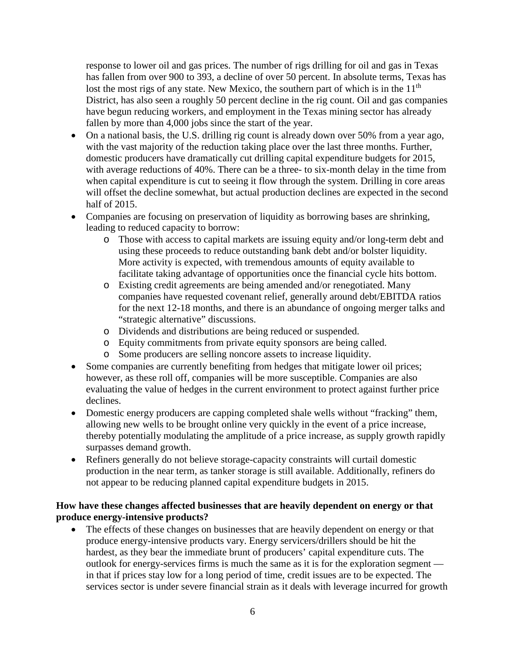response to lower oil and gas prices. The number of rigs drilling for oil and gas in Texas has fallen from over 900 to 393, a decline of over 50 percent. In absolute terms, Texas has lost the most rigs of any state. New Mexico, the southern part of which is in the  $11<sup>th</sup>$ District, has also seen a roughly 50 percent decline in the rig count. Oil and gas companies have begun reducing workers, and employment in the Texas mining sector has already fallen by more than 4,000 jobs since the start of the year.

- On a national basis, the U.S. drilling rig count is already down over 50% from a year ago, with the vast majority of the reduction taking place over the last three months. Further, domestic producers have dramatically cut drilling capital expenditure budgets for 2015, with average reductions of 40%. There can be a three- to six-month delay in the time from when capital expenditure is cut to seeing it flow through the system. Drilling in core areas will offset the decline somewhat, but actual production declines are expected in the second half of 2015.
- Companies are focusing on preservation of liquidity as borrowing bases are shrinking, leading to reduced capacity to borrow:
	- o Those with access to capital markets are issuing equity and/or long-term debt and using these proceeds to reduce outstanding bank debt and/or bolster liquidity. More activity is expected, with tremendous amounts of equity available to facilitate taking advantage of opportunities once the financial cycle hits bottom.
	- o Existing credit agreements are being amended and/or renegotiated. Many companies have requested covenant relief, generally around debt/EBITDA ratios for the next 12-18 months, and there is an abundance of ongoing merger talks and "strategic alternative" discussions.
	- o Dividends and distributions are being reduced or suspended.
	- o Equity commitments from private equity sponsors are being called.
	- o Some producers are selling noncore assets to increase liquidity.
- Some companies are currently benefiting from hedges that mitigate lower oil prices; however, as these roll off, companies will be more susceptible. Companies are also evaluating the value of hedges in the current environment to protect against further price declines.
- Domestic energy producers are capping completed shale wells without "fracking" them, allowing new wells to be brought online very quickly in the event of a price increase, thereby potentially modulating the amplitude of a price increase, as supply growth rapidly surpasses demand growth.
- Refiners generally do not believe storage-capacity constraints will curtail domestic production in the near term, as tanker storage is still available. Additionally, refiners do not appear to be reducing planned capital expenditure budgets in 2015.

### **How have these changes affected businesses that are heavily dependent on energy or that produce energy-intensive products?**

• The effects of these changes on businesses that are heavily dependent on energy or that produce energy-intensive products vary. Energy servicers/drillers should be hit the hardest, as they bear the immediate brunt of producers' capital expenditure cuts. The outlook for energy-services firms is much the same as it is for the exploration segment in that if prices stay low for a long period of time, credit issues are to be expected. The services sector is under severe financial strain as it deals with leverage incurred for growth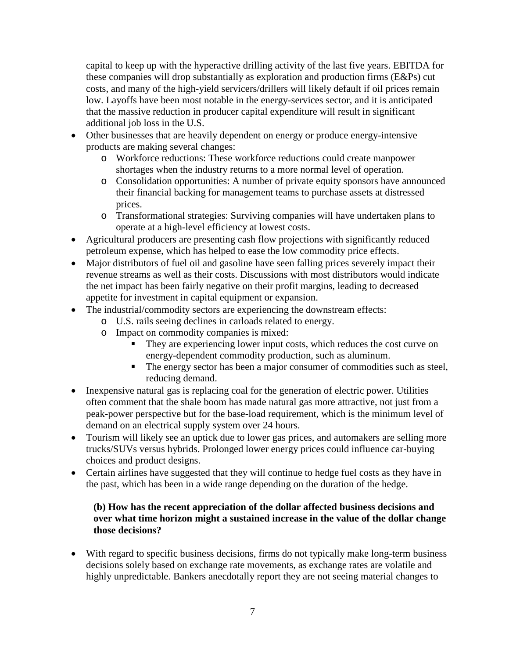capital to keep up with the hyperactive drilling activity of the last five years. EBITDA for these companies will drop substantially as exploration and production firms (E&Ps) cut costs, and many of the high-yield servicers/drillers will likely default if oil prices remain low. Layoffs have been most notable in the energy-services sector, and it is anticipated that the massive reduction in producer capital expenditure will result in significant additional job loss in the U.S.

- Other businesses that are heavily dependent on energy or produce energy-intensive products are making several changes:
	- o Workforce reductions: These workforce reductions could create manpower shortages when the industry returns to a more normal level of operation.
	- o Consolidation opportunities: A number of private equity sponsors have announced their financial backing for management teams to purchase assets at distressed prices.
	- o Transformational strategies: Surviving companies will have undertaken plans to operate at a high-level efficiency at lowest costs.
- Agricultural producers are presenting cash flow projections with significantly reduced petroleum expense, which has helped to ease the low commodity price effects.
- Major distributors of fuel oil and gasoline have seen falling prices severely impact their revenue streams as well as their costs. Discussions with most distributors would indicate the net impact has been fairly negative on their profit margins, leading to decreased appetite for investment in capital equipment or expansion.
- The industrial/commodity sectors are experiencing the downstream effects:
	- o U.S. rails seeing declines in carloads related to energy.
	- o Impact on commodity companies is mixed:
		- They are experiencing lower input costs, which reduces the cost curve on energy-dependent commodity production, such as aluminum.
		- The energy sector has been a major consumer of commodities such as steel, reducing demand.
- Inexpensive natural gas is replacing coal for the generation of electric power. Utilities often comment that the shale boom has made natural gas more attractive, not just from a peak-power perspective but for the base-load requirement, which is the minimum level of demand on an electrical supply system over 24 hours.
- Tourism will likely see an uptick due to lower gas prices, and automakers are selling more trucks/SUVs versus hybrids. Prolonged lower energy prices could influence car-buying choices and product designs.
- Certain airlines have suggested that they will continue to hedge fuel costs as they have in the past, which has been in a wide range depending on the duration of the hedge.

### **(b) How has the recent appreciation of the dollar affected business decisions and over what time horizon might a sustained increase in the value of the dollar change those decisions?**

• With regard to specific business decisions, firms do not typically make long-term business decisions solely based on exchange rate movements, as exchange rates are volatile and highly unpredictable. Bankers anecdotally report they are not seeing material changes to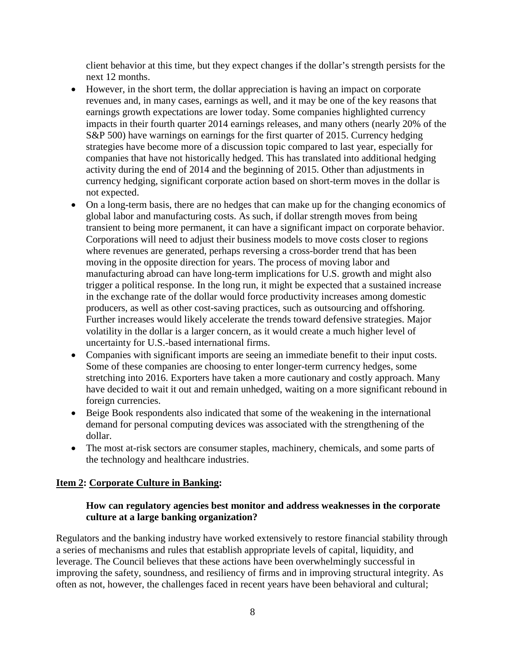client behavior at this time, but they expect changes if the dollar's strength persists for the next 12 months.

- However, in the short term, the dollar appreciation is having an impact on corporate revenues and, in many cases, earnings as well, and it may be one of the key reasons that earnings growth expectations are lower today. Some companies highlighted currency impacts in their fourth quarter 2014 earnings releases, and many others (nearly 20% of the S&P 500) have warnings on earnings for the first quarter of 2015. Currency hedging strategies have become more of a discussion topic compared to last year, especially for companies that have not historically hedged. This has translated into additional hedging activity during the end of 2014 and the beginning of 2015. Other than adjustments in currency hedging, significant corporate action based on short-term moves in the dollar is not expected.
- On a long-term basis, there are no hedges that can make up for the changing economics of global labor and manufacturing costs. As such, if dollar strength moves from being transient to being more permanent, it can have a significant impact on corporate behavior. Corporations will need to adjust their business models to move costs closer to regions where revenues are generated, perhaps reversing a cross-border trend that has been moving in the opposite direction for years. The process of moving labor and manufacturing abroad can have long-term implications for U.S. growth and might also trigger a political response. In the long run, it might be expected that a sustained increase in the exchange rate of the dollar would force productivity increases among domestic producers, as well as other cost-saving practices, such as outsourcing and offshoring. Further increases would likely accelerate the trends toward defensive strategies. Major volatility in the dollar is a larger concern, as it would create a much higher level of uncertainty for U.S.-based international firms.
- Companies with significant imports are seeing an immediate benefit to their input costs. Some of these companies are choosing to enter longer-term currency hedges, some stretching into 2016. Exporters have taken a more cautionary and costly approach. Many have decided to wait it out and remain unhedged, waiting on a more significant rebound in foreign currencies.
- Beige Book respondents also indicated that some of the weakening in the international demand for personal computing devices was associated with the strengthening of the dollar.
- The most at-risk sectors are consumer staples, machinery, chemicals, and some parts of the technology and healthcare industries.

### **Item 2: Corporate Culture in Banking:**

### **How can regulatory agencies best monitor and address weaknesses in the corporate culture at a large banking organization?**

Regulators and the banking industry have worked extensively to restore financial stability through a series of mechanisms and rules that establish appropriate levels of capital, liquidity, and leverage. The Council believes that these actions have been overwhelmingly successful in improving the safety, soundness, and resiliency of firms and in improving structural integrity. As often as not, however, the challenges faced in recent years have been behavioral and cultural;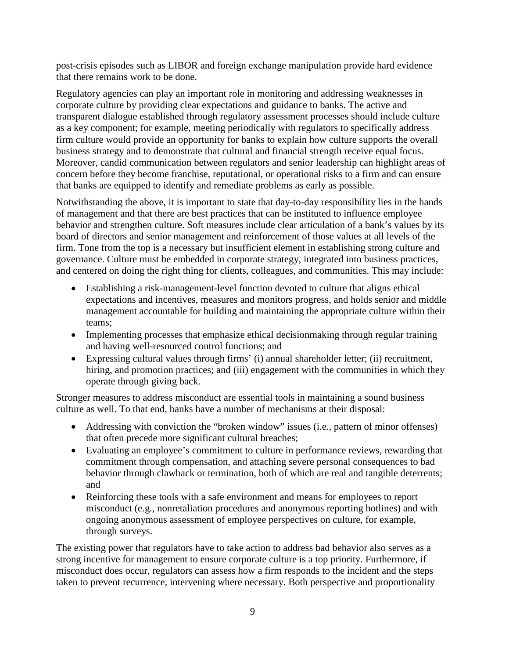post-crisis episodes such as LIBOR and foreign exchange manipulation provide hard evidence that there remains work to be done.

Regulatory agencies can play an important role in monitoring and addressing weaknesses in corporate culture by providing clear expectations and guidance to banks. The active and transparent dialogue established through regulatory assessment processes should include culture as a key component; for example, meeting periodically with regulators to specifically address firm culture would provide an opportunity for banks to explain how culture supports the overall business strategy and to demonstrate that cultural and financial strength receive equal focus. Moreover, candid communication between regulators and senior leadership can highlight areas of concern before they become franchise, reputational, or operational risks to a firm and can ensure that banks are equipped to identify and remediate problems as early as possible.

Notwithstanding the above, it is important to state that day-to-day responsibility lies in the hands of management and that there are best practices that can be instituted to influence employee behavior and strengthen culture. Soft measures include clear articulation of a bank's values by its board of directors and senior management and reinforcement of those values at all levels of the firm. Tone from the top is a necessary but insufficient element in establishing strong culture and governance. Culture must be embedded in corporate strategy, integrated into business practices, and centered on doing the right thing for clients, colleagues, and communities. This may include:

- Establishing a risk-management-level function devoted to culture that aligns ethical expectations and incentives, measures and monitors progress, and holds senior and middle management accountable for building and maintaining the appropriate culture within their teams;
- Implementing processes that emphasize ethical decisionmaking through regular training and having well-resourced control functions; and
- Expressing cultural values through firms' (i) annual shareholder letter; (ii) recruitment, hiring, and promotion practices; and (iii) engagement with the communities in which they operate through giving back.

Stronger measures to address misconduct are essential tools in maintaining a sound business culture as well. To that end, banks have a number of mechanisms at their disposal:

- Addressing with conviction the "broken window" issues (i.e., pattern of minor offenses) that often precede more significant cultural breaches;
- Evaluating an employee's commitment to culture in performance reviews, rewarding that commitment through compensation, and attaching severe personal consequences to bad behavior through clawback or termination, both of which are real and tangible deterrents; and
- Reinforcing these tools with a safe environment and means for employees to report misconduct (e.g., nonretaliation procedures and anonymous reporting hotlines) and with ongoing anonymous assessment of employee perspectives on culture, for example, through surveys.

The existing power that regulators have to take action to address bad behavior also serves as a strong incentive for management to ensure corporate culture is a top priority. Furthermore, if misconduct does occur, regulators can assess how a firm responds to the incident and the steps taken to prevent recurrence, intervening where necessary. Both perspective and proportionality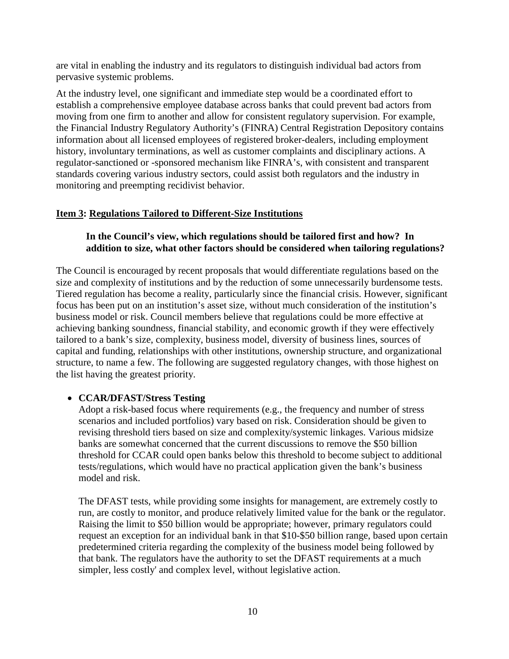are vital in enabling the industry and its regulators to distinguish individual bad actors from pervasive systemic problems.

At the industry level, one significant and immediate step would be a coordinated effort to establish a comprehensive employee database across banks that could prevent bad actors from moving from one firm to another and allow for consistent regulatory supervision. For example, the Financial Industry Regulatory Authority's (FINRA) Central Registration Depository contains information about all licensed employees of registered broker-dealers, including employment history, involuntary terminations, as well as customer complaints and disciplinary actions. A regulator-sanctioned or -sponsored mechanism like FINRA's, with consistent and transparent standards covering various industry sectors, could assist both regulators and the industry in monitoring and preempting recidivist behavior.

## **Item 3: Regulations Tailored to Different-Size Institutions**

## **In the Council's view, which regulations should be tailored first and how? In addition to size, what other factors should be considered when tailoring regulations?**

The Council is encouraged by recent proposals that would differentiate regulations based on the size and complexity of institutions and by the reduction of some unnecessarily burdensome tests. Tiered regulation has become a reality, particularly since the financial crisis. However, significant focus has been put on an institution's asset size, without much consideration of the institution's business model or risk. Council members believe that regulations could be more effective at achieving banking soundness, financial stability, and economic growth if they were effectively tailored to a bank's size, complexity, business model, diversity of business lines, sources of capital and funding, relationships with other institutions, ownership structure, and organizational structure, to name a few. The following are suggested regulatory changes, with those highest on the list having the greatest priority.

## • **CCAR/DFAST/Stress Testing**

Adopt a risk-based focus where requirements (e.g., the frequency and number of stress scenarios and included portfolios) vary based on risk. Consideration should be given to revising threshold tiers based on size and complexity/systemic linkages. Various midsize banks are somewhat concerned that the current discussions to remove the \$50 billion threshold for CCAR could open banks below this threshold to become subject to additional tests/regulations, which would have no practical application given the bank's business model and risk.

The DFAST tests, while providing some insights for management, are extremely costly to run, are costly to monitor, and produce relatively limited value for the bank or the regulator. Raising the limit to \$50 billion would be appropriate; however, primary regulators could request an exception for an individual bank in that \$10-\$50 billion range, based upon certain predetermined criteria regarding the complexity of the business model being followed by that bank. The regulators have the authority to set the DFAST requirements at a much simpler, less costly' and complex level, without legislative action.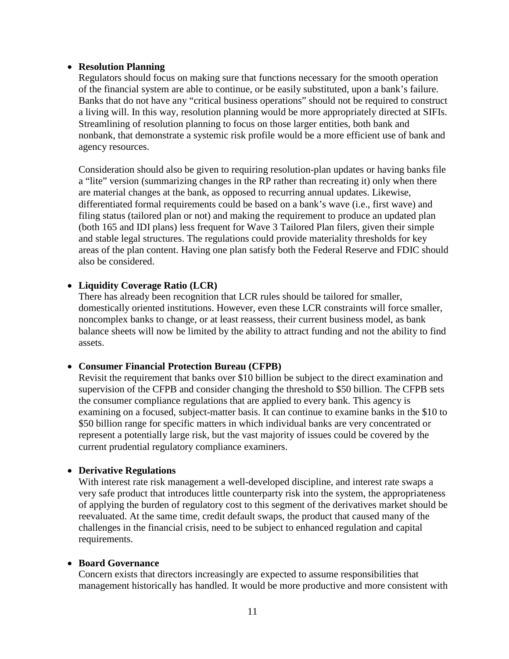### • **Resolution Planning**

Regulators should focus on making sure that functions necessary for the smooth operation of the financial system are able to continue, or be easily substituted, upon a bank's failure. Banks that do not have any "critical business operations" should not be required to construct a living will. In this way, resolution planning would be more appropriately directed at SIFIs. Streamlining of resolution planning to focus on those larger entities, both bank and nonbank, that demonstrate a systemic risk profile would be a more efficient use of bank and agency resources.

Consideration should also be given to requiring resolution-plan updates or having banks file a "lite" version (summarizing changes in the RP rather than recreating it) only when there are material changes at the bank, as opposed to recurring annual updates. Likewise, differentiated formal requirements could be based on a bank's wave (i.e., first wave) and filing status (tailored plan or not) and making the requirement to produce an updated plan (both 165 and IDI plans) less frequent for Wave 3 Tailored Plan filers, given their simple and stable legal structures. The regulations could provide materiality thresholds for key areas of the plan content. Having one plan satisfy both the Federal Reserve and FDIC should also be considered.

### • **Liquidity Coverage Ratio (LCR)**

There has already been recognition that LCR rules should be tailored for smaller, domestically oriented institutions. However, even these LCR constraints will force smaller, noncomplex banks to change, or at least reassess, their current business model, as bank balance sheets will now be limited by the ability to attract funding and not the ability to find assets.

### • **Consumer Financial Protection Bureau (CFPB)**

Revisit the requirement that banks over \$10 billion be subject to the direct examination and supervision of the CFPB and consider changing the threshold to \$50 billion. The CFPB sets the consumer compliance regulations that are applied to every bank. This agency is examining on a focused, subject-matter basis. It can continue to examine banks in the \$10 to \$50 billion range for specific matters in which individual banks are very concentrated or represent a potentially large risk, but the vast majority of issues could be covered by the current prudential regulatory compliance examiners.

### • **Derivative Regulations**

With interest rate risk management a well-developed discipline, and interest rate swaps a very safe product that introduces little counterparty risk into the system, the appropriateness of applying the burden of regulatory cost to this segment of the derivatives market should be reevaluated. At the same time, credit default swaps, the product that caused many of the challenges in the financial crisis, need to be subject to enhanced regulation and capital requirements.

### • **Board Governance**

Concern exists that directors increasingly are expected to assume responsibilities that management historically has handled. It would be more productive and more consistent with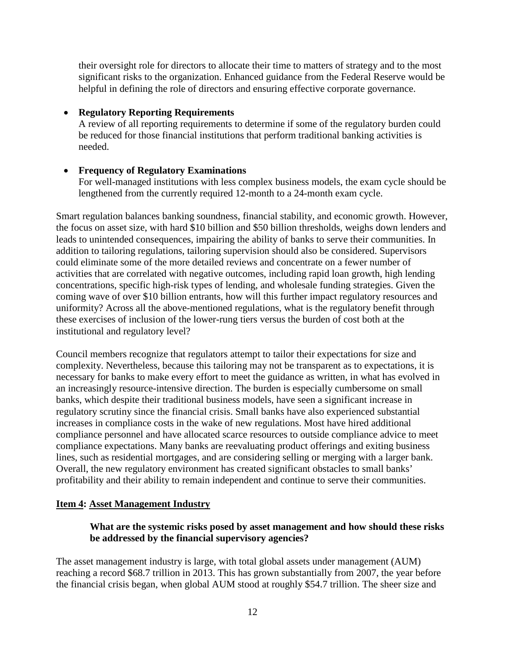their oversight role for directors to allocate their time to matters of strategy and to the most significant risks to the organization. Enhanced guidance from the Federal Reserve would be helpful in defining the role of directors and ensuring effective corporate governance.

### • **Regulatory Reporting Requirements**

A review of all reporting requirements to determine if some of the regulatory burden could be reduced for those financial institutions that perform traditional banking activities is needed.

## • **Frequency of Regulatory Examinations**

For well-managed institutions with less complex business models, the exam cycle should be lengthened from the currently required 12-month to a 24-month exam cycle.

Smart regulation balances banking soundness, financial stability, and economic growth. However, the focus on asset size, with hard \$10 billion and \$50 billion thresholds, weighs down lenders and leads to unintended consequences, impairing the ability of banks to serve their communities. In addition to tailoring regulations, tailoring supervision should also be considered. Supervisors could eliminate some of the more detailed reviews and concentrate on a fewer number of activities that are correlated with negative outcomes, including rapid loan growth, high lending concentrations, specific high-risk types of lending, and wholesale funding strategies. Given the coming wave of over \$10 billion entrants, how will this further impact regulatory resources and uniformity? Across all the above-mentioned regulations, what is the regulatory benefit through these exercises of inclusion of the lower-rung tiers versus the burden of cost both at the institutional and regulatory level?

Council members recognize that regulators attempt to tailor their expectations for size and complexity. Nevertheless, because this tailoring may not be transparent as to expectations, it is necessary for banks to make every effort to meet the guidance as written, in what has evolved in an increasingly resource-intensive direction. The burden is especially cumbersome on small banks, which despite their traditional business models, have seen a significant increase in regulatory scrutiny since the financial crisis. Small banks have also experienced substantial increases in compliance costs in the wake of new regulations. Most have hired additional compliance personnel and have allocated scarce resources to outside compliance advice to meet compliance expectations. Many banks are reevaluating product offerings and exiting business lines, such as residential mortgages, and are considering selling or merging with a larger bank. Overall, the new regulatory environment has created significant obstacles to small banks' profitability and their ability to remain independent and continue to serve their communities.

## **Item 4: Asset Management Industry**

## **What are the systemic risks posed by asset management and how should these risks be addressed by the financial supervisory agencies?**

The asset management industry is large, with total global assets under management (AUM) reaching a record \$68.7 trillion in 2013. This has grown substantially from 2007, the year before the financial crisis began, when global AUM stood at roughly \$54.7 trillion. The sheer size and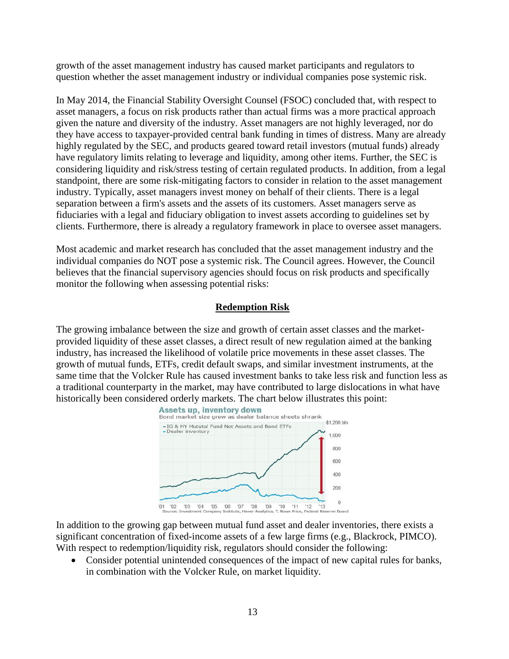growth of the asset management industry has caused market participants and regulators to question whether the asset management industry or individual companies pose systemic risk.

In May 2014, the Financial Stability Oversight Counsel (FSOC) concluded that, with respect to asset managers, a focus on risk products rather than actual firms was a more practical approach given the nature and diversity of the industry. Asset managers are not highly leveraged, nor do they have access to taxpayer-provided central bank funding in times of distress. Many are already highly regulated by the SEC, and products geared toward retail investors (mutual funds) already have regulatory limits relating to leverage and liquidity, among other items. Further, the SEC is considering liquidity and risk/stress testing of certain regulated products. In addition, from a legal standpoint, there are some risk-mitigating factors to consider in relation to the asset management industry. Typically, asset managers invest money on behalf of their clients. There is a legal separation between a firm's assets and the assets of its customers. Asset managers serve as fiduciaries with a legal and fiduciary obligation to invest assets according to guidelines set by clients. Furthermore, there is already a regulatory framework in place to oversee asset managers.

Most academic and market research has concluded that the asset management industry and the individual companies do NOT pose a systemic risk. The Council agrees. However, the Council believes that the financial supervisory agencies should focus on risk products and specifically monitor the following when assessing potential risks:

## **Redemption Risk**

The growing imbalance between the size and growth of certain asset classes and the marketprovided liquidity of these asset classes, a direct result of new regulation aimed at the banking industry, has increased the likelihood of volatile price movements in these asset classes. The growth of mutual funds, ETFs, credit default swaps, and similar investment instruments, at the same time that the Volcker Rule has caused investment banks to take less risk and function less as a traditional counterparty in the market, may have contributed to large dislocations in what have historically been considered orderly markets. The chart below illustrates this point:



In addition to the growing gap between mutual fund asset and dealer inventories, there exists a significant concentration of fixed-income assets of a few large firms (e.g., Blackrock, PIMCO). With respect to redemption/liquidity risk, regulators should consider the following:

• Consider potential unintended consequences of the impact of new capital rules for banks, in combination with the Volcker Rule, on market liquidity.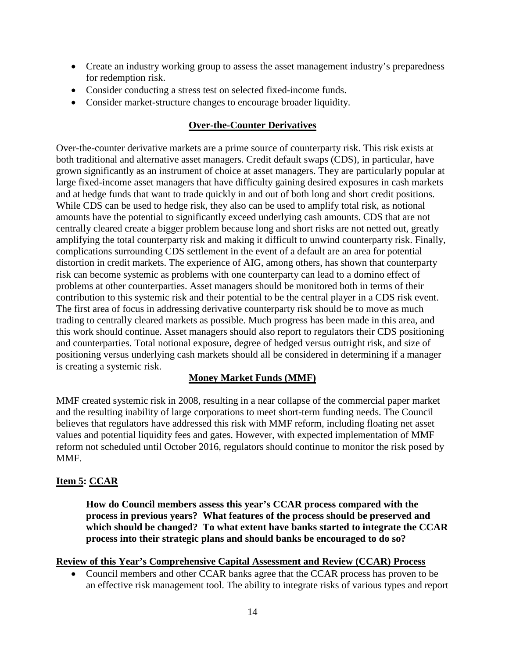- Create an industry working group to assess the asset management industry's preparedness for redemption risk.
- Consider conducting a stress test on selected fixed-income funds.
- Consider market-structure changes to encourage broader liquidity.

## **Over-the-Counter Derivatives**

Over-the-counter derivative markets are a prime source of counterparty risk. This risk exists at both traditional and alternative asset managers. Credit default swaps (CDS), in particular, have grown significantly as an instrument of choice at asset managers. They are particularly popular at large fixed-income asset managers that have difficulty gaining desired exposures in cash markets and at hedge funds that want to trade quickly in and out of both long and short credit positions. While CDS can be used to hedge risk, they also can be used to amplify total risk, as notional amounts have the potential to significantly exceed underlying cash amounts. CDS that are not centrally cleared create a bigger problem because long and short risks are not netted out, greatly amplifying the total counterparty risk and making it difficult to unwind counterparty risk. Finally, complications surrounding CDS settlement in the event of a default are an area for potential distortion in credit markets. The experience of AIG, among others, has shown that counterparty risk can become systemic as problems with one counterparty can lead to a domino effect of problems at other counterparties. Asset managers should be monitored both in terms of their contribution to this systemic risk and their potential to be the central player in a CDS risk event. The first area of focus in addressing derivative counterparty risk should be to move as much trading to centrally cleared markets as possible. Much progress has been made in this area, and this work should continue. Asset managers should also report to regulators their CDS positioning and counterparties. Total notional exposure, degree of hedged versus outright risk, and size of positioning versus underlying cash markets should all be considered in determining if a manager is creating a systemic risk.

### **Money Market Funds (MMF)**

MMF created systemic risk in 2008, resulting in a near collapse of the commercial paper market and the resulting inability of large corporations to meet short-term funding needs. The Council believes that regulators have addressed this risk with MMF reform, including floating net asset values and potential liquidity fees and gates. However, with expected implementation of MMF reform not scheduled until October 2016, regulators should continue to monitor the risk posed by MMF.

## **Item 5: CCAR**

**How do Council members assess this year's CCAR process compared with the process in previous years? What features of the process should be preserved and which should be changed? To what extent have banks started to integrate the CCAR process into their strategic plans and should banks be encouraged to do so?**

### **Review of this Year's Comprehensive Capital Assessment and Review (CCAR) Process**

• Council members and other CCAR banks agree that the CCAR process has proven to be an effective risk management tool. The ability to integrate risks of various types and report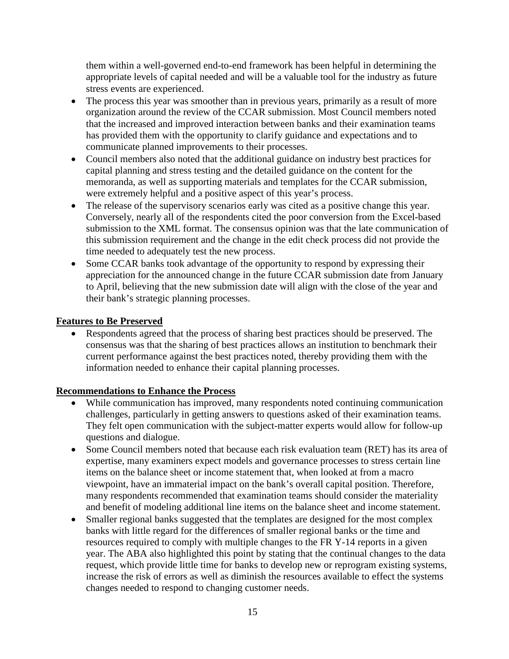them within a well-governed end-to-end framework has been helpful in determining the appropriate levels of capital needed and will be a valuable tool for the industry as future stress events are experienced.

- The process this year was smoother than in previous years, primarily as a result of more organization around the review of the CCAR submission. Most Council members noted that the increased and improved interaction between banks and their examination teams has provided them with the opportunity to clarify guidance and expectations and to communicate planned improvements to their processes.
- Council members also noted that the additional guidance on industry best practices for capital planning and stress testing and the detailed guidance on the content for the memoranda, as well as supporting materials and templates for the CCAR submission, were extremely helpful and a positive aspect of this year's process.
- The release of the supervisory scenarios early was cited as a positive change this year. Conversely, nearly all of the respondents cited the poor conversion from the Excel-based submission to the XML format. The consensus opinion was that the late communication of this submission requirement and the change in the edit check process did not provide the time needed to adequately test the new process.
- Some CCAR banks took advantage of the opportunity to respond by expressing their appreciation for the announced change in the future CCAR submission date from January to April, believing that the new submission date will align with the close of the year and their bank's strategic planning processes.

## **Features to Be Preserved**

• Respondents agreed that the process of sharing best practices should be preserved. The consensus was that the sharing of best practices allows an institution to benchmark their current performance against the best practices noted, thereby providing them with the information needed to enhance their capital planning processes.

## **Recommendations to Enhance the Process**

- While communication has improved, many respondents noted continuing communication challenges, particularly in getting answers to questions asked of their examination teams. They felt open communication with the subject-matter experts would allow for follow-up questions and dialogue.
- Some Council members noted that because each risk evaluation team (RET) has its area of expertise, many examiners expect models and governance processes to stress certain line items on the balance sheet or income statement that, when looked at from a macro viewpoint, have an immaterial impact on the bank's overall capital position. Therefore, many respondents recommended that examination teams should consider the materiality and benefit of modeling additional line items on the balance sheet and income statement.
- Smaller regional banks suggested that the templates are designed for the most complex banks with little regard for the differences of smaller regional banks or the time and resources required to comply with multiple changes to the FR Y-14 reports in a given year. The ABA also highlighted this point by stating that the continual changes to the data request, which provide little time for banks to develop new or reprogram existing systems, increase the risk of errors as well as diminish the resources available to effect the systems changes needed to respond to changing customer needs.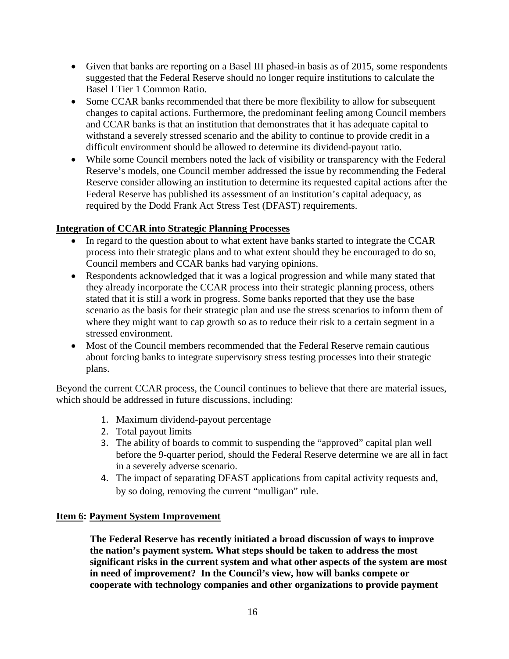- Given that banks are reporting on a Basel III phased-in basis as of 2015, some respondents suggested that the Federal Reserve should no longer require institutions to calculate the Basel I Tier 1 Common Ratio.
- Some CCAR banks recommended that there be more flexibility to allow for subsequent changes to capital actions. Furthermore, the predominant feeling among Council members and CCAR banks is that an institution that demonstrates that it has adequate capital to withstand a severely stressed scenario and the ability to continue to provide credit in a difficult environment should be allowed to determine its dividend-payout ratio.
- While some Council members noted the lack of visibility or transparency with the Federal Reserve's models, one Council member addressed the issue by recommending the Federal Reserve consider allowing an institution to determine its requested capital actions after the Federal Reserve has published its assessment of an institution's capital adequacy, as required by the Dodd Frank Act Stress Test (DFAST) requirements.

## **Integration of CCAR into Strategic Planning Processes**

- In regard to the question about to what extent have banks started to integrate the CCAR process into their strategic plans and to what extent should they be encouraged to do so, Council members and CCAR banks had varying opinions.
- Respondents acknowledged that it was a logical progression and while many stated that they already incorporate the CCAR process into their strategic planning process, others stated that it is still a work in progress. Some banks reported that they use the base scenario as the basis for their strategic plan and use the stress scenarios to inform them of where they might want to cap growth so as to reduce their risk to a certain segment in a stressed environment.
- Most of the Council members recommended that the Federal Reserve remain cautious about forcing banks to integrate supervisory stress testing processes into their strategic plans.

Beyond the current CCAR process, the Council continues to believe that there are material issues, which should be addressed in future discussions, including:

- 1. Maximum dividend-payout percentage
- 2. Total payout limits
- 3. The ability of boards to commit to suspending the "approved" capital plan well before the 9-quarter period, should the Federal Reserve determine we are all in fact in a severely adverse scenario.
- 4. The impact of separating DFAST applications from capital activity requests and, by so doing, removing the current "mulligan" rule.

### **Item 6: Payment System Improvement**

**The Federal Reserve has recently initiated a broad discussion of ways to improve the nation's payment system. What steps should be taken to address the most significant risks in the current system and what other aspects of the system are most in need of improvement? In the Council's view, how will banks compete or cooperate with technology companies and other organizations to provide payment**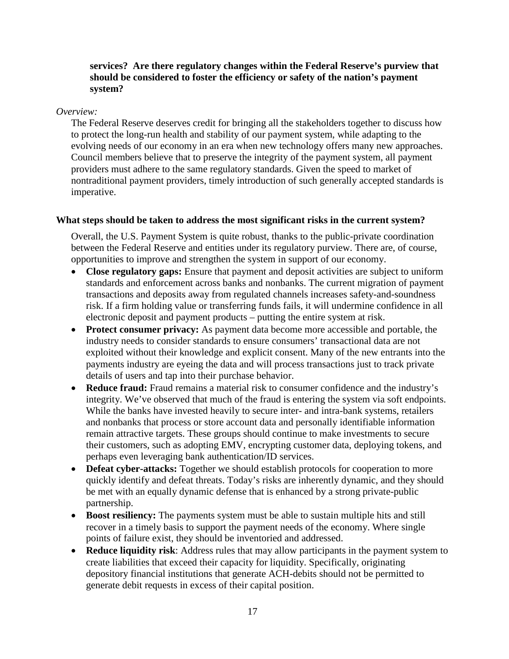### **services? Are there regulatory changes within the Federal Reserve's purview that should be considered to foster the efficiency or safety of the nation's payment system?**

#### *Overview:*

The Federal Reserve deserves credit for bringing all the stakeholders together to discuss how to protect the long-run health and stability of our payment system, while adapting to the evolving needs of our economy in an era when new technology offers many new approaches. Council members believe that to preserve the integrity of the payment system, all payment providers must adhere to the same regulatory standards. Given the speed to market of nontraditional payment providers, timely introduction of such generally accepted standards is imperative.

#### **What steps should be taken to address the most significant risks in the current system?**

Overall, the U.S. Payment System is quite robust, thanks to the public-private coordination between the Federal Reserve and entities under its regulatory purview. There are, of course, opportunities to improve and strengthen the system in support of our economy.

- **Close regulatory gaps:** Ensure that payment and deposit activities are subject to uniform standards and enforcement across banks and nonbanks. The current migration of payment transactions and deposits away from regulated channels increases safety-and-soundness risk. If a firm holding value or transferring funds fails, it will undermine confidence in all electronic deposit and payment products – putting the entire system at risk.
- **Protect consumer privacy:** As payment data become more accessible and portable, the industry needs to consider standards to ensure consumers' transactional data are not exploited without their knowledge and explicit consent. Many of the new entrants into the payments industry are eyeing the data and will process transactions just to track private details of users and tap into their purchase behavior.
- **Reduce fraud:** Fraud remains a material risk to consumer confidence and the industry's integrity. We've observed that much of the fraud is entering the system via soft endpoints. While the banks have invested heavily to secure inter- and intra-bank systems, retailers and nonbanks that process or store account data and personally identifiable information remain attractive targets. These groups should continue to make investments to secure their customers, such as adopting EMV, encrypting customer data, deploying tokens, and perhaps even leveraging bank authentication/ID services.
- **Defeat cyber-attacks:** Together we should establish protocols for cooperation to more quickly identify and defeat threats. Today's risks are inherently dynamic, and they should be met with an equally dynamic defense that is enhanced by a strong private-public partnership.
- **Boost resiliency:** The payments system must be able to sustain multiple hits and still recover in a timely basis to support the payment needs of the economy. Where single points of failure exist, they should be inventoried and addressed.
- **Reduce liquidity risk**: Address rules that may allow participants in the payment system to create liabilities that exceed their capacity for liquidity. Specifically, originating depository financial institutions that generate ACH-debits should not be permitted to generate debit requests in excess of their capital position.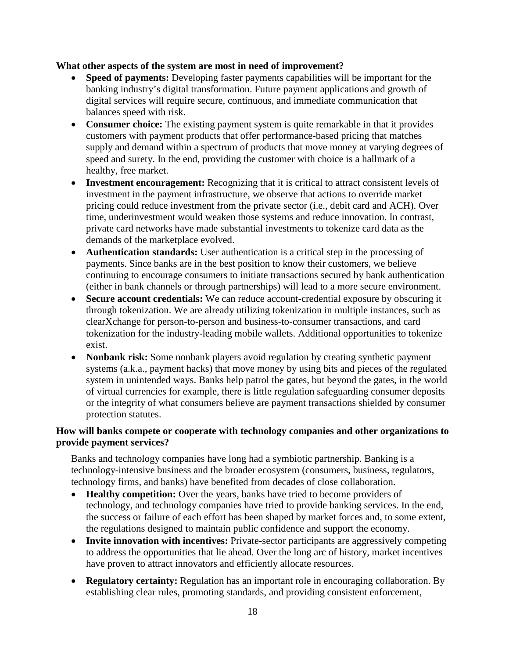### **What other aspects of the system are most in need of improvement?**

- **Speed of payments:** Developing faster payments capabilities will be important for the banking industry's digital transformation. Future payment applications and growth of digital services will require secure, continuous, and immediate communication that balances speed with risk.
- **Consumer choice:** The existing payment system is quite remarkable in that it provides customers with payment products that offer performance-based pricing that matches supply and demand within a spectrum of products that move money at varying degrees of speed and surety. In the end, providing the customer with choice is a hallmark of a healthy, free market.
- **Investment encouragement:** Recognizing that it is critical to attract consistent levels of investment in the payment infrastructure, we observe that actions to override market pricing could reduce investment from the private sector (i.e., debit card and ACH). Over time, underinvestment would weaken those systems and reduce innovation. In contrast, private card networks have made substantial investments to tokenize card data as the demands of the marketplace evolved.
- **Authentication standards:** User authentication is a critical step in the processing of payments. Since banks are in the best position to know their customers, we believe continuing to encourage consumers to initiate transactions secured by bank authentication (either in bank channels or through partnerships) will lead to a more secure environment.
- **Secure account credentials:** We can reduce account-credential exposure by obscuring it through tokenization. We are already utilizing tokenization in multiple instances, such as clearXchange for person-to-person and business-to-consumer transactions, and card tokenization for the industry-leading mobile wallets. Additional opportunities to tokenize exist.
- **Nonbank risk:** Some nonbank players avoid regulation by creating synthetic payment systems (a.k.a., payment hacks) that move money by using bits and pieces of the regulated system in unintended ways. Banks help patrol the gates, but beyond the gates, in the world of virtual currencies for example, there is little regulation safeguarding consumer deposits or the integrity of what consumers believe are payment transactions shielded by consumer protection statutes.

## **How will banks compete or cooperate with technology companies and other organizations to provide payment services?**

Banks and technology companies have long had a symbiotic partnership. Banking is a technology-intensive business and the broader ecosystem (consumers, business, regulators, technology firms, and banks) have benefited from decades of close collaboration.

- **Healthy competition:** Over the years, banks have tried to become providers of technology, and technology companies have tried to provide banking services. In the end, the success or failure of each effort has been shaped by market forces and, to some extent, the regulations designed to maintain public confidence and support the economy.
- **Invite innovation with incentives:** Private-sector participants are aggressively competing to address the opportunities that lie ahead. Over the long arc of history, market incentives have proven to attract innovators and efficiently allocate resources.
- **Regulatory certainty:** Regulation has an important role in encouraging collaboration. By establishing clear rules, promoting standards, and providing consistent enforcement,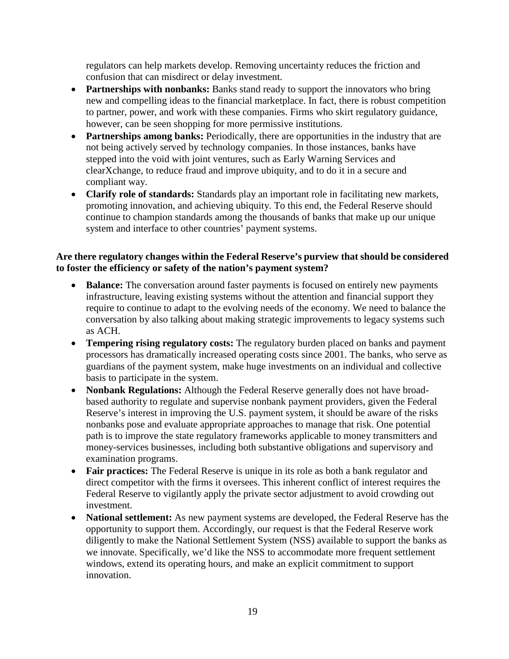regulators can help markets develop. Removing uncertainty reduces the friction and confusion that can misdirect or delay investment.

- **Partnerships with nonbanks:** Banks stand ready to support the innovators who bring new and compelling ideas to the financial marketplace. In fact, there is robust competition to partner, power, and work with these companies. Firms who skirt regulatory guidance, however, can be seen shopping for more permissive institutions.
- **Partnerships among banks:** Periodically, there are opportunities in the industry that are not being actively served by technology companies. In those instances, banks have stepped into the void with joint ventures, such as Early Warning Services and clearXchange, to reduce fraud and improve ubiquity, and to do it in a secure and compliant way.
- **Clarify role of standards:** Standards play an important role in facilitating new markets, promoting innovation, and achieving ubiquity. To this end, the Federal Reserve should continue to champion standards among the thousands of banks that make up our unique system and interface to other countries' payment systems.

## **Are there regulatory changes within the Federal Reserve's purview that should be considered to foster the efficiency or safety of the nation's payment system?**

- **Balance:** The conversation around faster payments is focused on entirely new payments infrastructure, leaving existing systems without the attention and financial support they require to continue to adapt to the evolving needs of the economy. We need to balance the conversation by also talking about making strategic improvements to legacy systems such as ACH.
- **Tempering rising regulatory costs:** The regulatory burden placed on banks and payment processors has dramatically increased operating costs since 2001. The banks, who serve as guardians of the payment system, make huge investments on an individual and collective basis to participate in the system.
- **Nonbank Regulations:** Although the Federal Reserve generally does not have broadbased authority to regulate and supervise nonbank payment providers, given the Federal Reserve's interest in improving the U.S. payment system, it should be aware of the risks nonbanks pose and evaluate appropriate approaches to manage that risk. One potential path is to improve the state regulatory frameworks applicable to money transmitters and money-services businesses, including both substantive obligations and supervisory and examination programs.
- **Fair practices:** The Federal Reserve is unique in its role as both a bank regulator and direct competitor with the firms it oversees. This inherent conflict of interest requires the Federal Reserve to vigilantly apply the private sector adjustment to avoid crowding out investment.
- **National settlement:** As new payment systems are developed, the Federal Reserve has the opportunity to support them. Accordingly, our request is that the Federal Reserve work diligently to make the National Settlement System (NSS) available to support the banks as we innovate. Specifically, we'd like the NSS to accommodate more frequent settlement windows, extend its operating hours, and make an explicit commitment to support innovation.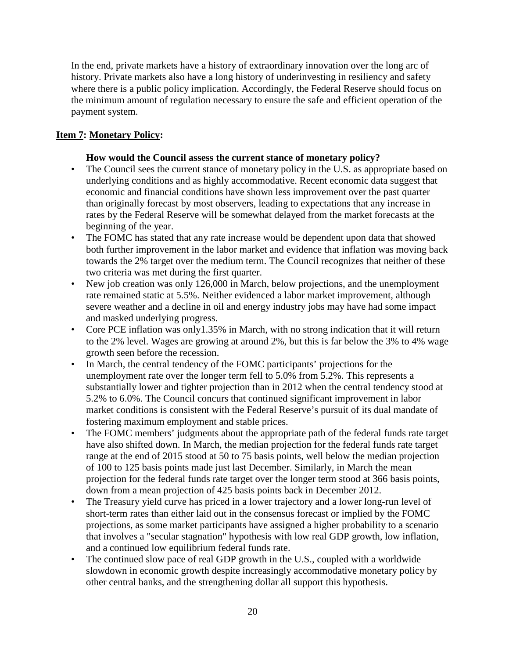In the end, private markets have a history of extraordinary innovation over the long arc of history. Private markets also have a long history of underinvesting in resiliency and safety where there is a public policy implication. Accordingly, the Federal Reserve should focus on the minimum amount of regulation necessary to ensure the safe and efficient operation of the payment system.

# **Item 7: Monetary Policy:**

### **How would the Council assess the current stance of monetary policy?**

- The Council sees the current stance of monetary policy in the U.S. as appropriate based on underlying conditions and as highly accommodative. Recent economic data suggest that economic and financial conditions have shown less improvement over the past quarter than originally forecast by most observers, leading to expectations that any increase in rates by the Federal Reserve will be somewhat delayed from the market forecasts at the beginning of the year.
- The FOMC has stated that any rate increase would be dependent upon data that showed both further improvement in the labor market and evidence that inflation was moving back towards the 2% target over the medium term. The Council recognizes that neither of these two criteria was met during the first quarter.
- New job creation was only 126,000 in March, below projections, and the unemployment rate remained static at 5.5%. Neither evidenced a labor market improvement, although severe weather and a decline in oil and energy industry jobs may have had some impact and masked underlying progress.
- Core PCE inflation was only1.35% in March, with no strong indication that it will return to the 2% level. Wages are growing at around 2%, but this is far below the 3% to 4% wage growth seen before the recession.
- In March, the central tendency of the FOMC participants' projections for the unemployment rate over the longer term fell to 5.0% from 5.2%. This represents a substantially lower and tighter projection than in 2012 when the central tendency stood at 5.2% to 6.0%. The Council concurs that continued significant improvement in labor market conditions is consistent with the Federal Reserve's pursuit of its dual mandate of fostering maximum employment and stable prices.
- The FOMC members' judgments about the appropriate path of the federal funds rate target have also shifted down. In March, the median projection for the federal funds rate target range at the end of 2015 stood at 50 to 75 basis points, well below the median projection of 100 to 125 basis points made just last December. Similarly, in March the mean projection for the federal funds rate target over the longer term stood at 366 basis points, down from a mean projection of 425 basis points back in December 2012.
- The Treasury yield curve has priced in a lower trajectory and a lower long-run level of short-term rates than either laid out in the consensus forecast or implied by the FOMC projections, as some market participants have assigned a higher probability to a scenario that involves a "secular stagnation" hypothesis with low real GDP growth, low inflation, and a continued low equilibrium federal funds rate.
- The continued slow pace of real GDP growth in the U.S., coupled with a worldwide slowdown in economic growth despite increasingly accommodative monetary policy by other central banks, and the strengthening dollar all support this hypothesis.